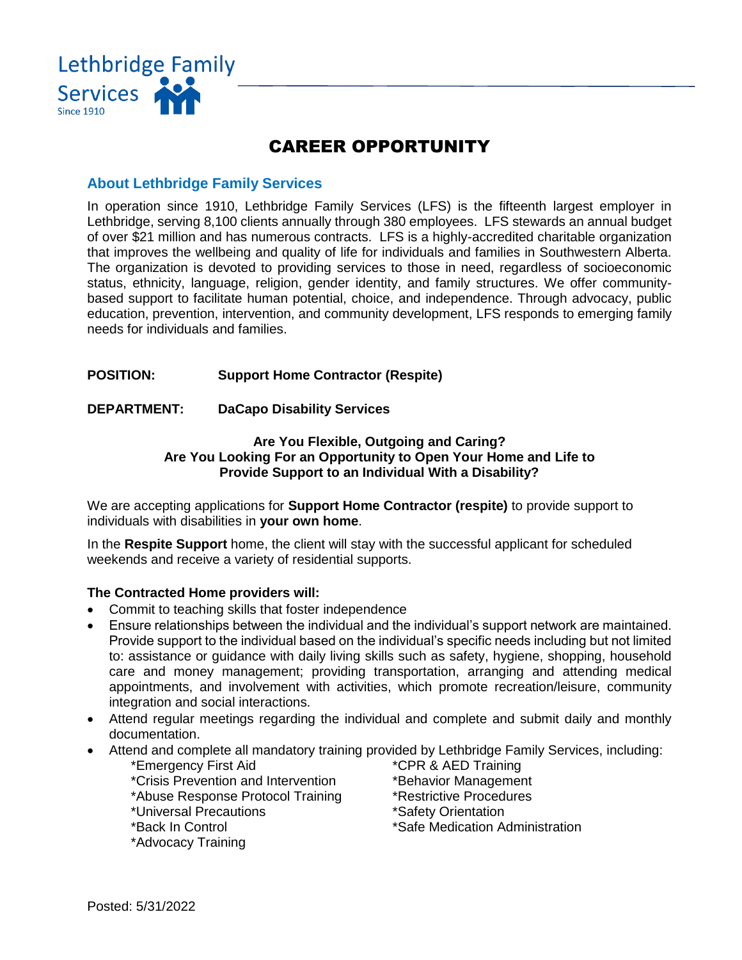

# CAREER OPPORTUNITY

## **About Lethbridge Family Services**

In operation since 1910, Lethbridge Family Services (LFS) is the fifteenth largest employer in Lethbridge, serving 8,100 clients annually through 380 employees. LFS stewards an annual budget of over \$21 million and has numerous contracts. LFS is a highly-accredited charitable organization that improves the wellbeing and quality of life for individuals and families in Southwestern Alberta. The organization is devoted to providing services to those in need, regardless of socioeconomic status, ethnicity, language, religion, gender identity, and family structures. We offer communitybased support to facilitate human potential, choice, and independence. Through advocacy, public education, prevention, intervention, and community development, LFS responds to emerging family needs for individuals and families.

## **POSITION: Support Home Contractor (Respite)**

### **DEPARTMENT: DaCapo Disability Services**

### **Are You Flexible, Outgoing and Caring? Are You Looking For an Opportunity to Open Your Home and Life to Provide Support to an Individual With a Disability?**

We are accepting applications for **Support Home Contractor (respite)** to provide support to individuals with disabilities in **your own home**.

In the **Respite Support** home, the client will stay with the successful applicant for scheduled weekends and receive a variety of residential supports.

### **The Contracted Home providers will:**

- Commit to teaching skills that foster independence
- Ensure relationships between the individual and the individual's support network are maintained. Provide support to the individual based on the individual's specific needs including but not limited to: assistance or guidance with daily living skills such as safety, hygiene, shopping, household care and money management; providing transportation, arranging and attending medical appointments, and involvement with activities, which promote recreation/leisure, community integration and social interactions.
- Attend regular meetings regarding the individual and complete and submit daily and monthly documentation.
- Attend and complete all mandatory training provided by Lethbridge Family Services, including:
	- \*Emergency First Aid \*CPR & AED Training \*Crisis Prevention and Intervention \*Behavior Management \*Abuse Response Protocol Training \*Restrictive Procedures \*Universal Precautions \*Safety Orientation \*Back In Control \*Safe Medication Administration \*Advocacy Training